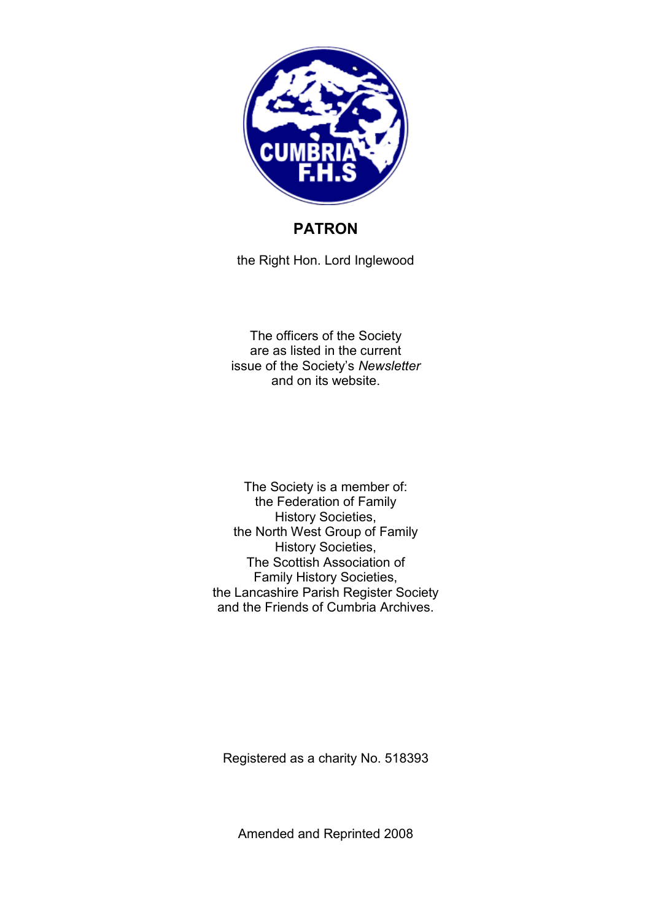

# **PATRON**

the Right Hon. Lord Inglewood

The officers of the Society are as listed in the current issue of the Society's *Newsletter* and on its website.

The Society is a member of: the Federation of Family History Societies, the North West Group of Family History Societies, The Scottish Association of Family History Societies, the Lancashire Parish Register Society and the Friends of Cumbria Archives.

Registered as a charity No. 518393

Amended and Reprinted 2008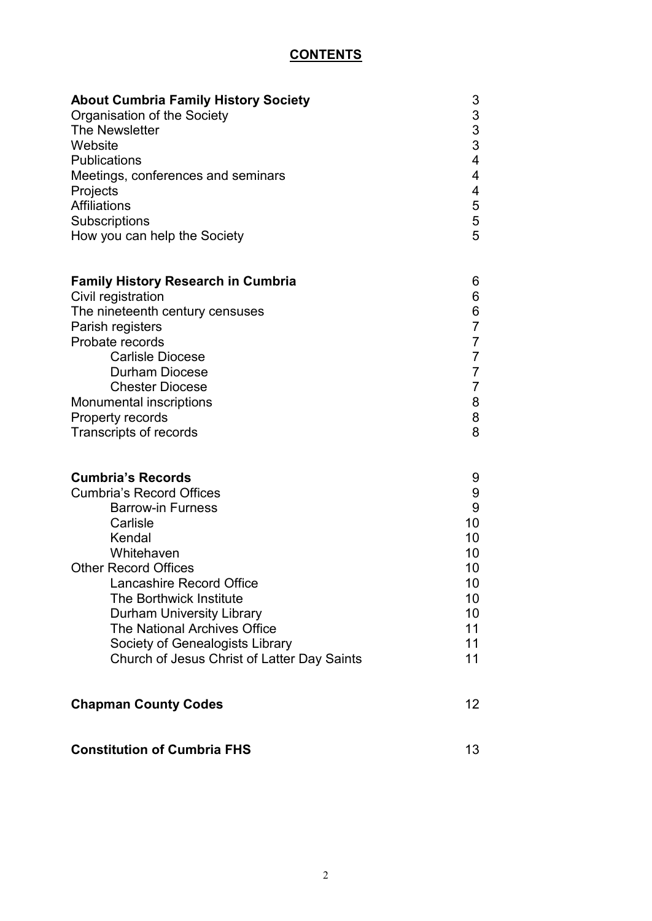# **CONTENTS**

| <b>About Cumbria Family History Society</b>         | 3                       |
|-----------------------------------------------------|-------------------------|
| Organisation of the Society                         | 3                       |
| The Newsletter<br>Website                           | $\frac{3}{3}$           |
| <b>Publications</b>                                 | $\overline{\mathbf{4}}$ |
| Meetings, conferences and seminars                  | 4                       |
| Projects                                            | 4                       |
| <b>Affiliations</b>                                 | 5                       |
| Subscriptions                                       |                         |
| How you can help the Society                        | $\frac{5}{5}$           |
| <b>Family History Research in Cumbria</b>           | 6                       |
| Civil registration                                  | 6                       |
| The nineteenth century censuses                     | 6                       |
| Parish registers                                    | $\overline{7}$          |
| Probate records                                     | $\overline{7}$          |
| <b>Carlisle Diocese</b>                             | $\overline{7}$          |
| <b>Durham Diocese</b>                               | $\overline{7}$          |
| <b>Chester Diocese</b>                              | $\overline{7}$          |
| Monumental inscriptions<br>Property records         | 8<br>8                  |
| Transcripts of records                              | 8                       |
|                                                     |                         |
| <b>Cumbria's Records</b>                            | 9                       |
| <b>Cumbria's Record Offices</b>                     | 9                       |
| <b>Barrow-in Furness</b>                            | 9                       |
| Carlisle                                            | 10                      |
| Kendal                                              | 10                      |
| Whitehaven                                          | 10                      |
| <b>Other Record Offices</b>                         | 10                      |
| Lancashire Record Office<br>The Borthwick Institute | 10<br>10                |
| <b>Durham University Library</b>                    | 10                      |
| <b>The National Archives Office</b>                 | 11                      |
| Society of Genealogists Library                     | 11                      |
| Church of Jesus Christ of Latter Day Saints         | 11                      |
| <b>Chapman County Codes</b>                         | 12 <sup>°</sup>         |
| <b>Constitution of Cumbria FHS</b>                  | 13                      |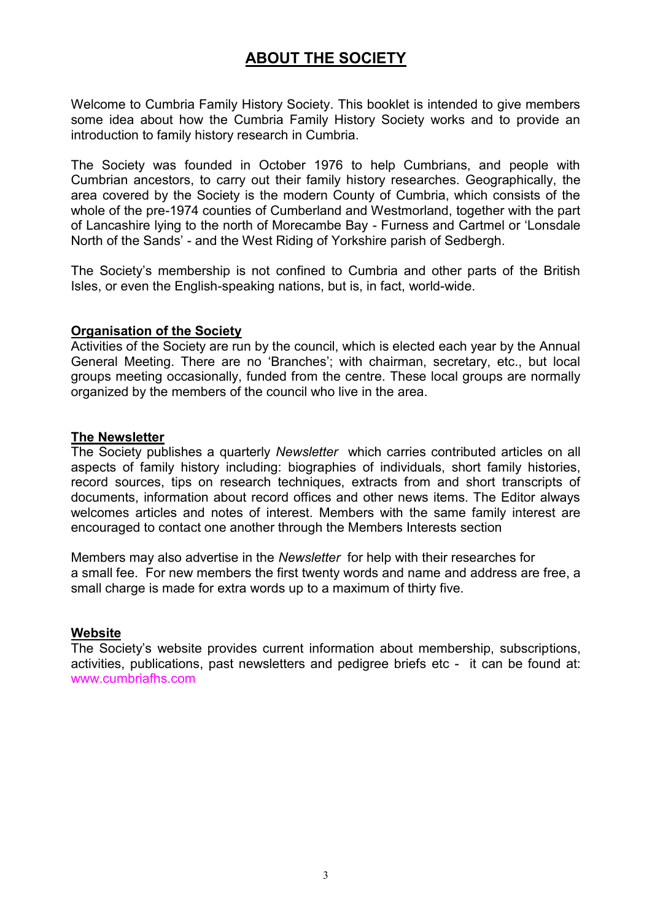# **ABOUT THE SOCIETY**

Welcome to Cumbria Family History Society. This booklet is intended to give members some idea about how the Cumbria Family History Society works and to provide an introduction to family history research in Cumbria.

The Society was founded in October 1976 to help Cumbrians, and people with Cumbrian ancestors, to carry out their family history researches. Geographically, the area covered by the Society is the modern County of Cumbria, which consists of the whole of the pre-1974 counties of Cumberland and Westmorland, together with the part of Lancashire lying to the north of Morecambe Bay - Furness and Cartmel or 'Lonsdale North of the Sands' - and the West Riding of Yorkshire parish of Sedbergh.

The Society's membership is not confined to Cumbria and other parts of the British Isles, or even the English-speaking nations, but is, in fact, world-wide.

#### **Organisation of the Society**

Activities of the Society are run by the council, which is elected each year by the Annual General Meeting. There are no 'Branches'; with chairman, secretary, etc., but local groups meeting occasionally, funded from the centre. These local groups are normally organized by the members of the council who live in the area.

#### **The Newsletter**

The Society publishes a quarterly *Newsletter* which carries contributed articles on all aspects of family history including: biographies of individuals, short family histories, record sources, tips on research techniques, extracts from and short transcripts of documents, information about record offices and other news items. The Editor always welcomes articles and notes of interest. Members with the same family interest are encouraged to contact one another through the Members Interests section

Members may also advertise in the *Newsletter* for help with their researches for a small fee. For new members the first twenty words and name and address are free, a small charge is made for extra words up to a maximum of thirty five.

#### **Website**

The Society's website provides current information about membership, subscriptions, activities, publications, past newsletters and pedigree briefs etc - it can be found at: www.cumbriafhs.com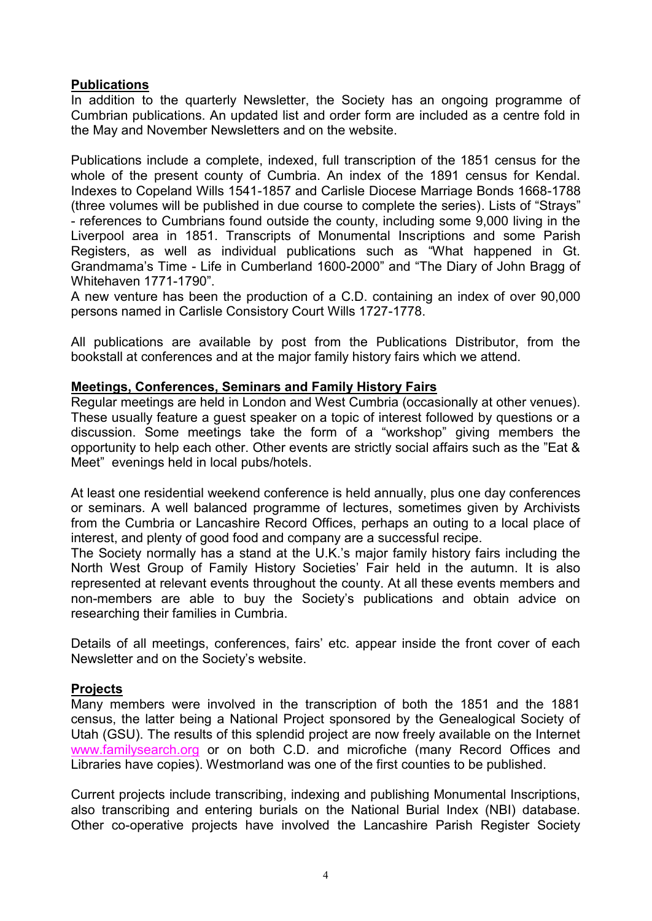#### **Publications**

In addition to the quarterly Newsletter, the Society has an ongoing programme of Cumbrian publications. An updated list and order form are included as a centre fold in the May and November Newsletters and on the website.

Publications include a complete, indexed, full transcription of the 1851 census for the whole of the present county of Cumbria. An index of the 1891 census for Kendal. Indexes to Copeland Wills 1541-1857 and Carlisle Diocese Marriage Bonds 1668-1788 (three volumes will be published in due course to complete the series). Lists of "Strays" - references to Cumbrians found outside the county, including some 9,000 living in the Liverpool area in 1851. Transcripts of Monumental Inscriptions and some Parish Registers, as well as individual publications such as "What happened in Gt. Grandmama's Time - Life in Cumberland 1600-2000" and "The Diary of John Bragg of Whitehaven 1771-1790".

A new venture has been the production of a C.D. containing an index of over 90,000 persons named in Carlisle Consistory Court Wills 1727-1778.

All publications are available by post from the Publications Distributor, from the bookstall at conferences and at the major family history fairs which we attend.

#### **Meetings, Conferences, Seminars and Family History Fairs**

Regular meetings are held in London and West Cumbria (occasionally at other venues). These usually feature a guest speaker on a topic of interest followed by questions or a discussion. Some meetings take the form of a "workshop" giving members the opportunity to help each other. Other events are strictly social affairs such as the "Eat & Meet" evenings held in local pubs/hotels.

At least one residential weekend conference is held annually, plus one day conferences or seminars. A well balanced programme of lectures, sometimes given by Archivists from the Cumbria or Lancashire Record Offices, perhaps an outing to a local place of interest, and plenty of good food and company are a successful recipe.

The Society normally has a stand at the U.K.'s major family history fairs including the North West Group of Family History Societies' Fair held in the autumn. It is also represented at relevant events throughout the county. At all these events members and non-members are able to buy the Society's publications and obtain advice on researching their families in Cumbria.

Details of all meetings, conferences, fairs' etc. appear inside the front cover of each Newsletter and on the Society's website.

#### **Projects**

Many members were involved in the transcription of both the 1851 and the 1881 census, the latter being a National Project sponsored by the Genealogical Society of Utah (GSU). The results of this splendid project are now freely available on the Internet www.familysearch.org or on both C.D. and microfiche (many Record Offices and Libraries have copies). Westmorland was one of the first counties to be published.

Current projects include transcribing, indexing and publishing Monumental Inscriptions, also transcribing and entering burials on the National Burial Index (NBI) database. Other co-operative projects have involved the Lancashire Parish Register Society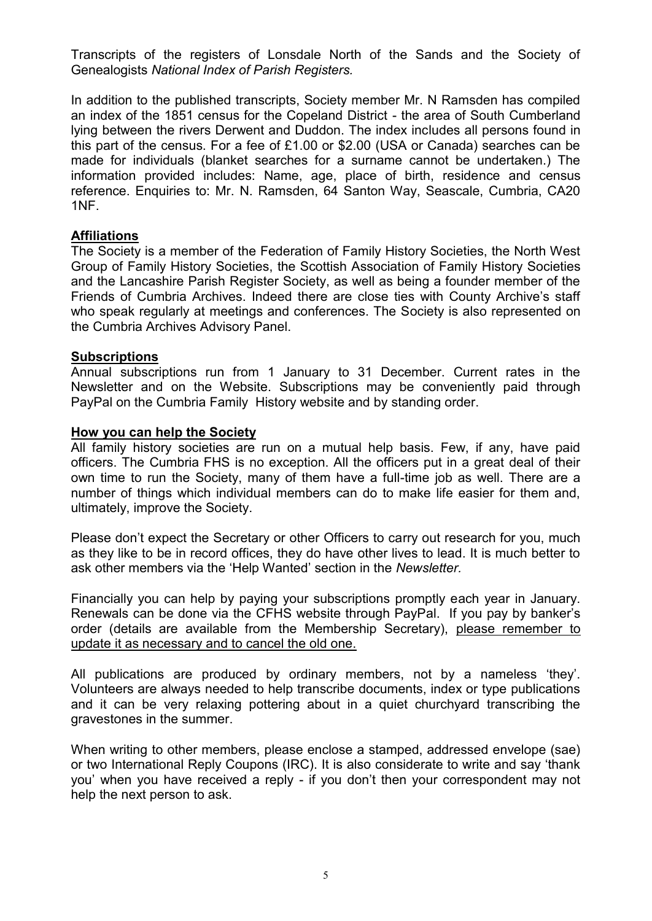Transcripts of the registers of Lonsdale North of the Sands and the Society of Genealogists *National Index of Parish Registers.* 

In addition to the published transcripts, Society member Mr. N Ramsden has compiled an index of the 1851 census for the Copeland District - the area of South Cumberland lying between the rivers Derwent and Duddon. The index includes all persons found in this part of the census. For a fee of £1.00 or \$2.00 (USA or Canada) searches can be made for individuals (blanket searches for a surname cannot be undertaken.) The information provided includes: Name, age, place of birth, residence and census reference. Enquiries to: Mr. N. Ramsden, 64 Santon Way, Seascale, Cumbria, CA20 1NF.

#### **Affiliations**

The Society is a member of the Federation of Family History Societies, the North West Group of Family History Societies, the Scottish Association of Family History Societies and the Lancashire Parish Register Society, as well as being a founder member of the Friends of Cumbria Archives. Indeed there are close ties with County Archive's staff who speak regularly at meetings and conferences. The Society is also represented on the Cumbria Archives Advisory Panel.

#### **Subscriptions**

Annual subscriptions run from 1 January to 31 December. Current rates in the Newsletter and on the Website. Subscriptions may be conveniently paid through PayPal on the Cumbria Family History website and by standing order.

#### **How you can help the Society**

All family history societies are run on a mutual help basis. Few, if any, have paid officers. The Cumbria FHS is no exception. All the officers put in a great deal of their own time to run the Society, many of them have a full-time job as well. There are a number of things which individual members can do to make life easier for them and, ultimately, improve the Society.

Please don't expect the Secretary or other Officers to carry out research for you, much as they like to be in record offices, they do have other lives to lead. It is much better to ask other members via the 'Help Wanted' section in the *Newsletter.*

Financially you can help by paying your subscriptions promptly each year in January. Renewals can be done via the CFHS website through PayPal. If you pay by banker's order (details are available from the Membership Secretary), please remember to update it as necessary and to cancel the old one.

All publications are produced by ordinary members, not by a nameless 'they'. Volunteers are always needed to help transcribe documents, index or type publications and it can be very relaxing pottering about in a quiet churchyard transcribing the gravestones in the summer.

When writing to other members, please enclose a stamped, addressed envelope (sae) or two International Reply Coupons (IRC). It is also considerate to write and say 'thank you' when you have received a reply - if you don't then your correspondent may not help the next person to ask.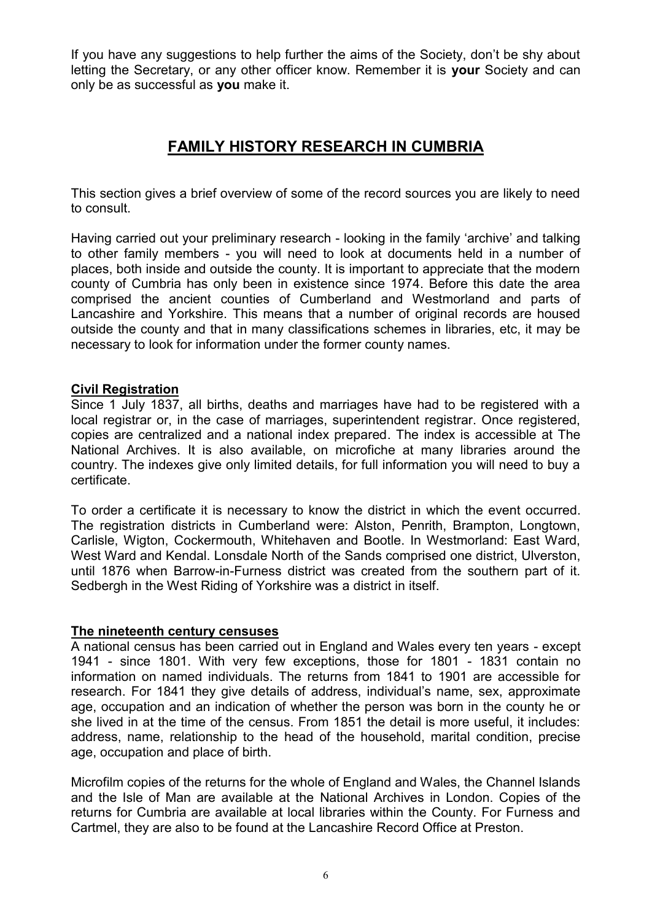If you have any suggestions to help further the aims of the Society, don't be shy about letting the Secretary, or any other officer know. Remember it is **your** Society and can only be as successful as **you** make it.

# **FAMILY HISTORY RESEARCH IN CUMBRIA**

This section gives a brief overview of some of the record sources you are likely to need to consult.

Having carried out your preliminary research - looking in the family 'archive' and talking to other family members - you will need to look at documents held in a number of places, both inside and outside the county. It is important to appreciate that the modern county of Cumbria has only been in existence since 1974. Before this date the area comprised the ancient counties of Cumberland and Westmorland and parts of Lancashire and Yorkshire. This means that a number of original records are housed outside the county and that in many classifications schemes in libraries, etc, it may be necessary to look for information under the former county names.

#### **Civil Registration**

Since 1 July 1837, all births, deaths and marriages have had to be registered with a local registrar or, in the case of marriages, superintendent registrar. Once registered, copies are centralized and a national index prepared. The index is accessible at The National Archives. It is also available, on microfiche at many libraries around the country. The indexes give only limited details, for full information you will need to buy a certificate.

To order a certificate it is necessary to know the district in which the event occurred. The registration districts in Cumberland were: Alston, Penrith, Brampton, Longtown, Carlisle, Wigton, Cockermouth, Whitehaven and Bootle. In Westmorland: East Ward, West Ward and Kendal. Lonsdale North of the Sands comprised one district, Ulverston, until 1876 when Barrow-in-Furness district was created from the southern part of it. Sedbergh in the West Riding of Yorkshire was a district in itself.

#### **The nineteenth century censuses**

A national census has been carried out in England and Wales every ten years - except 1941 - since 1801. With very few exceptions, those for 1801 - 1831 contain no information on named individuals. The returns from 1841 to 1901 are accessible for research. For 1841 they give details of address, individual's name, sex, approximate age, occupation and an indication of whether the person was born in the county he or she lived in at the time of the census. From 1851 the detail is more useful, it includes: address, name, relationship to the head of the household, marital condition, precise age, occupation and place of birth.

Microfilm copies of the returns for the whole of England and Wales, the Channel Islands and the Isle of Man are available at the National Archives in London. Copies of the returns for Cumbria are available at local libraries within the County. For Furness and Cartmel, they are also to be found at the Lancashire Record Office at Preston.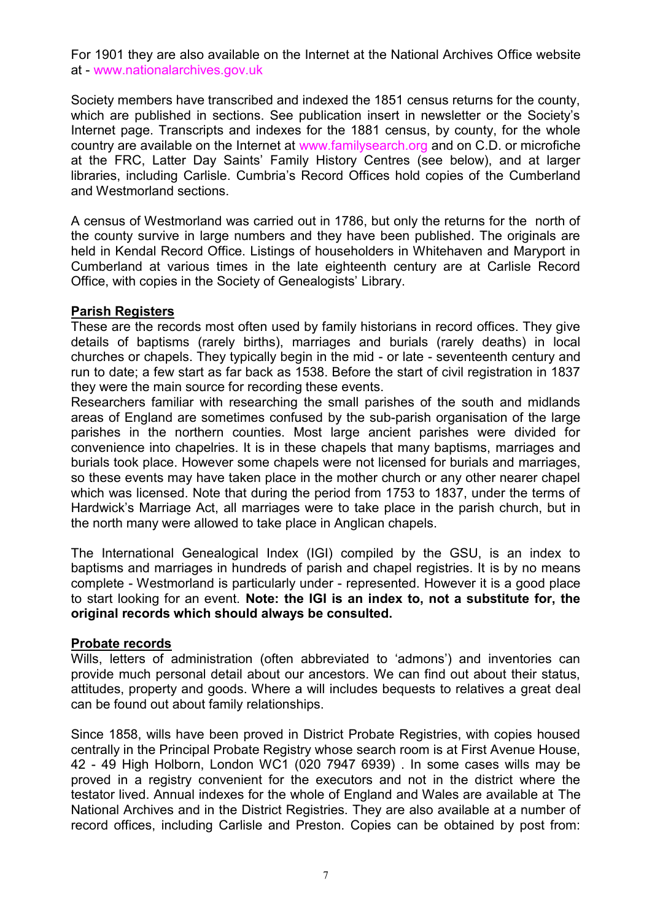For 1901 they are also available on the Internet at the National Archives Office website at - www.nationalarchives.gov.uk

Society members have transcribed and indexed the 1851 census returns for the county, which are published in sections. See publication insert in newsletter or the Society's Internet page. Transcripts and indexes for the 1881 census, by county, for the whole country are available on the Internet at www.familysearch.org and on C.D. or microfiche at the FRC, Latter Day Saints' Family History Centres (see below), and at larger libraries, including Carlisle. Cumbria's Record Offices hold copies of the Cumberland and Westmorland sections.

A census of Westmorland was carried out in 1786, but only the returns for the north of the county survive in large numbers and they have been published. The originals are held in Kendal Record Office. Listings of householders in Whitehaven and Maryport in Cumberland at various times in the late eighteenth century are at Carlisle Record Office, with copies in the Society of Genealogists' Library.

#### **Parish Registers**

These are the records most often used by family historians in record offices. They give details of baptisms (rarely births), marriages and burials (rarely deaths) in local churches or chapels. They typically begin in the mid - or late - seventeenth century and run to date; a few start as far back as 1538. Before the start of civil registration in 1837 they were the main source for recording these events.

Researchers familiar with researching the small parishes of the south and midlands areas of England are sometimes confused by the sub-parish organisation of the large parishes in the northern counties. Most large ancient parishes were divided for convenience into chapelries. It is in these chapels that many baptisms, marriages and burials took place. However some chapels were not licensed for burials and marriages, so these events may have taken place in the mother church or any other nearer chapel which was licensed. Note that during the period from 1753 to 1837, under the terms of Hardwick's Marriage Act, all marriages were to take place in the parish church, but in the north many were allowed to take place in Anglican chapels.

The International Genealogical Index (IGI) compiled by the GSU, is an index to baptisms and marriages in hundreds of parish and chapel registries. It is by no means complete - Westmorland is particularly under - represented. However it is a good place to start looking for an event. **Note: the IGI is an index to, not a substitute for, the original records which should always be consulted.**

#### **Probate records**

Wills, letters of administration (often abbreviated to 'admons') and inventories can provide much personal detail about our ancestors. We can find out about their status, attitudes, property and goods. Where a will includes bequests to relatives a great deal can be found out about family relationships.

Since 1858, wills have been proved in District Probate Registries, with copies housed centrally in the Principal Probate Registry whose search room is at First Avenue House, 42 - 49 High Holborn, London WC1 (020 7947 6939) . In some cases wills may be proved in a registry convenient for the executors and not in the district where the testator lived. Annual indexes for the whole of England and Wales are available at The National Archives and in the District Registries. They are also available at a number of record offices, including Carlisle and Preston. Copies can be obtained by post from: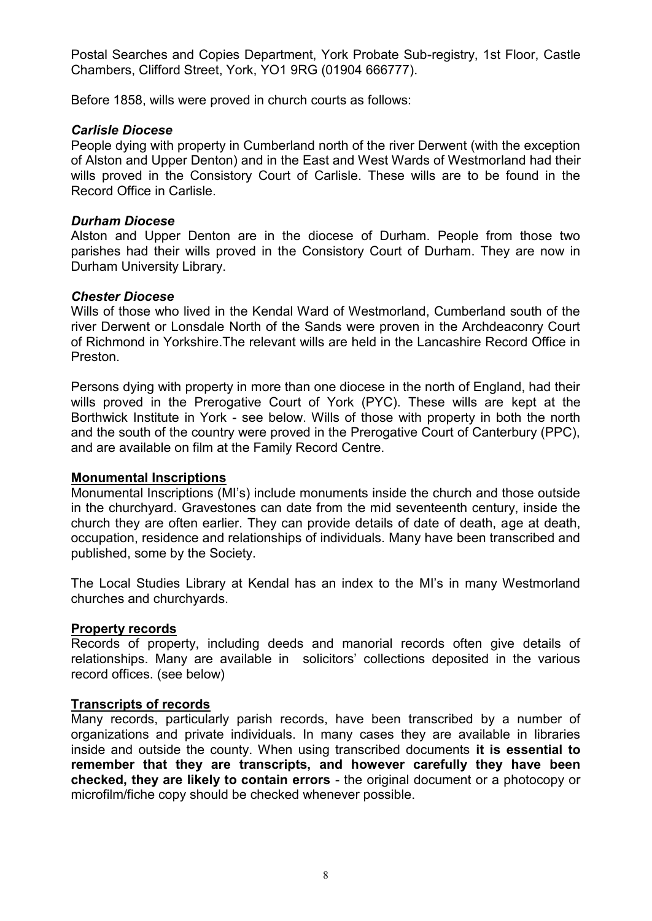Postal Searches and Copies Department, York Probate Sub-registry, 1st Floor, Castle Chambers, Clifford Street, York, YO1 9RG (01904 666777).

Before 1858, wills were proved in church courts as follows:

#### *Carlisle Diocese*

People dying with property in Cumberland north of the river Derwent (with the exception of Alston and Upper Denton) and in the East and West Wards of Westmorland had their wills proved in the Consistory Court of Carlisle. These wills are to be found in the Record Office in Carlisle.

#### *Durham Diocese*

Alston and Upper Denton are in the diocese of Durham. People from those two parishes had their wills proved in the Consistory Court of Durham. They are now in Durham University Library.

#### *Chester Diocese*

Wills of those who lived in the Kendal Ward of Westmorland, Cumberland south of the river Derwent or Lonsdale North of the Sands were proven in the Archdeaconry Court of Richmond in Yorkshire.The relevant wills are held in the Lancashire Record Office in Preston.

Persons dying with property in more than one diocese in the north of England, had their wills proved in the Prerogative Court of York (PYC). These wills are kept at the Borthwick Institute in York - see below. Wills of those with property in both the north and the south of the country were proved in the Prerogative Court of Canterbury (PPC), and are available on film at the Family Record Centre.

# **Monumental Inscriptions**

Monumental Inscriptions (MI's) include monuments inside the church and those outside in the churchyard. Gravestones can date from the mid seventeenth century, inside the church they are often earlier. They can provide details of date of death, age at death, occupation, residence and relationships of individuals. Many have been transcribed and published, some by the Society.

The Local Studies Library at Kendal has an index to the MI's in many Westmorland churches and churchyards.

# **Property records**

Records of property, including deeds and manorial records often give details of relationships. Many are available in solicitors' collections deposited in the various record offices. (see below)

#### **Transcripts of records**

Many records, particularly parish records, have been transcribed by a number of organizations and private individuals. In many cases they are available in libraries inside and outside the county. When using transcribed documents **it is essential to remember that they are transcripts, and however carefully they have been checked, they are likely to contain errors** - the original document or a photocopy or microfilm/fiche copy should be checked whenever possible.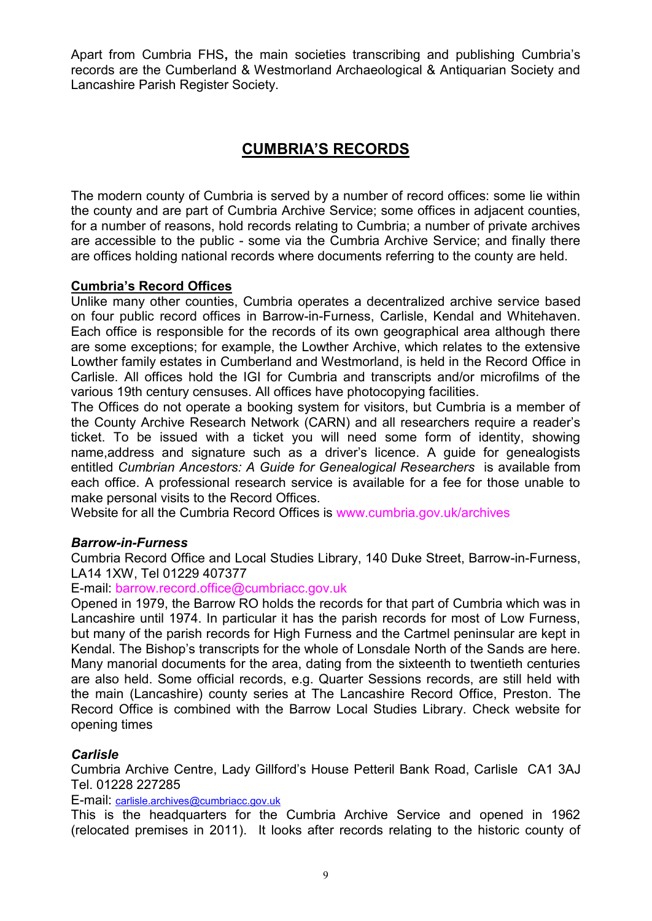Apart from Cumbria FHS**,** the main societies transcribing and publishing Cumbria's records are the Cumberland & Westmorland Archaeological & Antiquarian Society and Lancashire Parish Register Society.

# **CUMBRIA'S RECORDS**

The modern county of Cumbria is served by a number of record offices: some lie within the county and are part of Cumbria Archive Service; some offices in adjacent counties, for a number of reasons, hold records relating to Cumbria; a number of private archives are accessible to the public - some via the Cumbria Archive Service; and finally there are offices holding national records where documents referring to the county are held.

#### **Cumbria's Record Offices**

Unlike many other counties, Cumbria operates a decentralized archive service based on four public record offices in Barrow-in-Furness, Carlisle, Kendal and Whitehaven. Each office is responsible for the records of its own geographical area although there are some exceptions; for example, the Lowther Archive, which relates to the extensive Lowther family estates in Cumberland and Westmorland, is held in the Record Office in Carlisle. All offices hold the IGI for Cumbria and transcripts and/or microfilms of the various 19th century censuses. All offices have photocopying facilities.

The Offices do not operate a booking system for visitors, but Cumbria is a member of the County Archive Research Network (CARN) and all researchers require a reader's ticket. To be issued with a ticket you will need some form of identity, showing name,address and signature such as a driver's licence. A guide for genealogists entitled *Cumbrian Ancestors: A Guide for Genealogical Researchers* is available from each office. A professional research service is available for a fee for those unable to make personal visits to the Record Offices.

Website for all the Cumbria Record Offices is www.cumbria.gov.uk/archives

#### *Barrow-in-Furness*

Cumbria Record Office and Local Studies Library, 140 Duke Street, Barrow-in-Furness, LA14 1XW, Tel 01229 407377

E-mail: barrow.record.office@cumbriacc.gov.uk

Opened in 1979, the Barrow RO holds the records for that part of Cumbria which was in Lancashire until 1974. In particular it has the parish records for most of Low Furness, but many of the parish records for High Furness and the Cartmel peninsular are kept in Kendal. The Bishop's transcripts for the whole of Lonsdale North of the Sands are here. Many manorial documents for the area, dating from the sixteenth to twentieth centuries are also held. Some official records, e.g. Quarter Sessions records, are still held with the main (Lancashire) county series at The Lancashire Record Office, Preston. The Record Office is combined with the Barrow Local Studies Library. Check website for opening times

#### *Carlisle*

Cumbria Archive Centre, Lady Gillford's House Petteril Bank Road, Carlisle CA1 3AJ Tel. 01228 227285

E-mail: [carlisle.archives@cumbriacc.gov.uk](mailto:carlisle.archives@cumbriacc.gov.uk)

This is the headquarters for the Cumbria Archive Service and opened in 1962 (relocated premises in 2011). It looks after records relating to the historic county of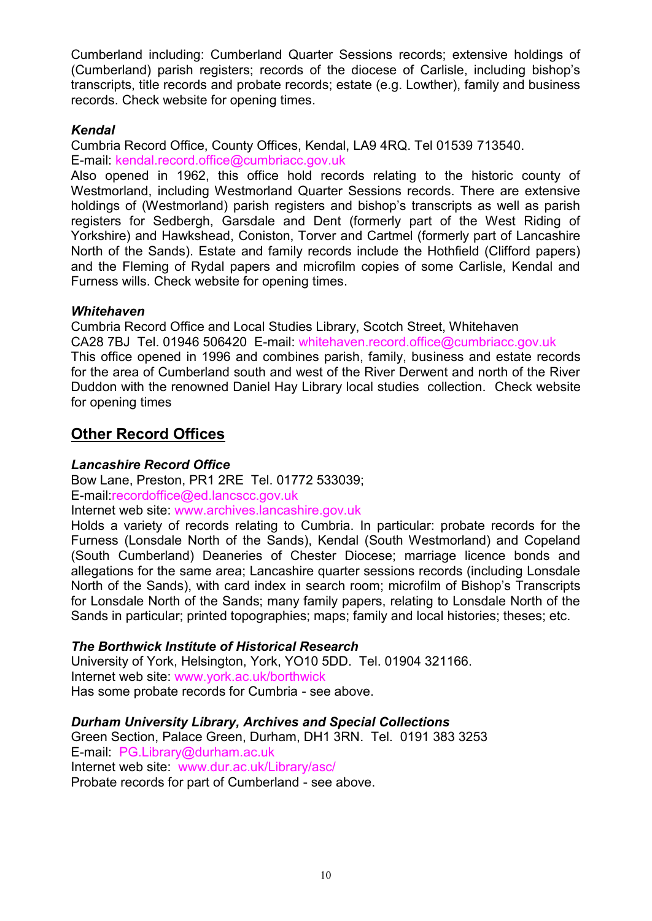Cumberland including: Cumberland Quarter Sessions records; extensive holdings of (Cumberland) parish registers; records of the diocese of Carlisle, including bishop's transcripts, title records and probate records; estate (e.g. Lowther), family and business records. Check website for opening times.

### *Kendal*

Cumbria Record Office, County Offices, Kendal, LA9 4RQ. Tel 01539 713540. E-mail: kendal.record.office@cumbriacc.gov.uk

Also opened in 1962, this office hold records relating to the historic county of Westmorland, including Westmorland Quarter Sessions records. There are extensive holdings of (Westmorland) parish registers and bishop's transcripts as well as parish registers for Sedbergh, Garsdale and Dent (formerly part of the West Riding of Yorkshire) and Hawkshead, Coniston, Torver and Cartmel (formerly part of Lancashire North of the Sands). Estate and family records include the Hothfield (Clifford papers) and the Fleming of Rydal papers and microfilm copies of some Carlisle, Kendal and Furness wills. Check website for opening times.

#### *Whitehaven*

Cumbria Record Office and Local Studies Library, Scotch Street, Whitehaven CA28 7BJ Tel. 01946 506420 E-mail: whitehaven.record.office@cumbriacc.gov.uk This office opened in 1996 and combines parish, family, business and estate records for the area of Cumberland south and west of the River Derwent and north of the River Duddon with the renowned Daniel Hay Library local studies collection. Check website for opening times

# **Other Record Offices**

### *Lancashire Record Office*

Bow Lane, Preston, PR1 2RE Tel. 01772 533039; E-mail:recordoffice@ed.lancscc.gov.uk

Internet web site: www.archives.lancashire.gov.uk

Holds a variety of records relating to Cumbria. In particular: probate records for the Furness (Lonsdale North of the Sands), Kendal (South Westmorland) and Copeland (South Cumberland) Deaneries of Chester Diocese; marriage licence bonds and allegations for the same area; Lancashire quarter sessions records (including Lonsdale North of the Sands), with card index in search room; microfilm of Bishop's Transcripts for Lonsdale North of the Sands; many family papers, relating to Lonsdale North of the Sands in particular; printed topographies; maps; family and local histories; theses; etc.

# *The Borthwick Institute of Historical Research*

University of York, Helsington, York, YO10 5DD. Tel. 01904 321166. Internet web site: www.york.ac.uk/borthwick Has some probate records for Cumbria - see above.

# *Durham University Library, Archives and Special Collections*

Green Section, Palace Green, Durham, DH1 3RN. Tel. 0191 383 3253 E-mail: PG.Library@durham.ac.uk Internet web site: www.dur.ac.uk/Library/asc/ Probate records for part of Cumberland - see above.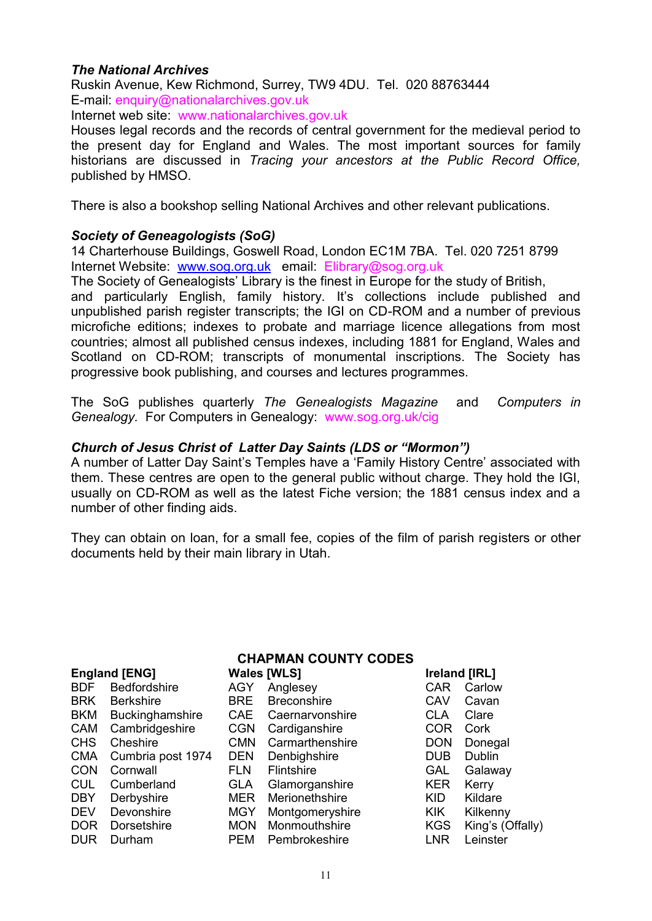#### *The National Archives*

Ruskin Avenue, Kew Richmond, Surrey, TW9 4DU. Tel. 020 88763444 E-mail: enquiry@nationalarchives.gov.uk

Internet web site: www.nationalarchives.gov.uk

Houses legal records and the records of central government for the medieval period to the present day for England and Wales. The most important sources for family historians are discussed in *Tracing your ancestors at the Public Record Office,*  published by HMSO.

There is also a bookshop selling National Archives and other relevant publications.

#### *Society of Geneagologists (SoG)*

14 Charterhouse Buildings, Goswell Road, London EC1M 7BA. Tel. 020 7251 8799 Internet Website: [www.sog.org.uk](http://www.sog.org.uk/) email: Elibrary@sog.org.uk

The Society of Genealogists' Library is the finest in Europe for the study of British, and particularly English, family history. It's collections include published and unpublished parish register transcripts; the IGI on CD-ROM and a number of previous microfiche editions; indexes to probate and marriage licence allegations from most countries; almost all published census indexes, including 1881 for England, Wales and Scotland on CD-ROM; transcripts of monumental inscriptions. The Society has progressive book publishing, and courses and lectures programmes.

The SoG publishes quarterly *The Genealogists Magazine* and *Computers in Genealogy.* For Computers in Genealogy: www.sog.org.uk/cig

#### *Church of Jesus Christ of Latter Day Saints (LDS or "Mormon")*

A number of Latter Day Saint's Temples have a 'Family History Centre' associated with them. These centres are open to the general public without charge. They hold the IGI, usually on CD-ROM as well as the latest Fiche version; the 1881 census index and a number of other finding aids.

They can obtain on loan, for a small fee, copies of the film of parish registers or other documents held by their main library in Utah.

| <b>CHAPMAN COUNTY CODES</b> |                     |                    |                    |               |                  |
|-----------------------------|---------------------|--------------------|--------------------|---------------|------------------|
| <b>England [ENG]</b>        |                     | <b>Wales [WLS]</b> |                    | Ireland [IRL] |                  |
| <b>BDF</b>                  | <b>Bedfordshire</b> | <b>AGY</b>         | Anglesey           | CAR           | Carlow           |
| <b>BRK</b>                  | <b>Berkshire</b>    | <b>BRE</b>         | <b>Breconshire</b> | CAV           | Cavan            |
| <b>BKM</b>                  | Buckinghamshire     | <b>CAE</b>         | Caernarvonshire    | <b>CLA</b>    | Clare            |
| <b>CAM</b>                  | Cambridgeshire      | <b>CGN</b>         | Cardiganshire      | COR           | Cork             |
| <b>CHS</b>                  | Cheshire            | <b>CMN</b>         | Carmarthenshire    | <b>DON</b>    | Donegal          |
| <b>CMA</b>                  | Cumbria post 1974   | <b>DEN</b>         | Denbighshire       | <b>DUB</b>    | Dublin           |
| <b>CON</b>                  | Cornwall            | <b>FLN</b>         | <b>Flintshire</b>  | GAL           | Galaway          |
| <b>CUL</b>                  | Cumberland          | GLA                | Glamorganshire     | <b>KER</b>    | Kerry            |
| <b>DBY</b>                  | Derbyshire          | <b>MER</b>         | Merionethshire     | <b>KID</b>    | Kildare          |
| <b>DEV</b>                  | Devonshire          | <b>MGY</b>         | Montgomeryshire    | <b>KIK</b>    | Kilkenny         |
| DOR                         | Dorsetshire         | <b>MON</b>         | Monmouthshire      | <b>KGS</b>    | King's (Offally) |
| <b>DUR</b>                  | Durham              | <b>PEM</b>         | Pembrokeshire      | <b>LNR</b>    | Leinster         |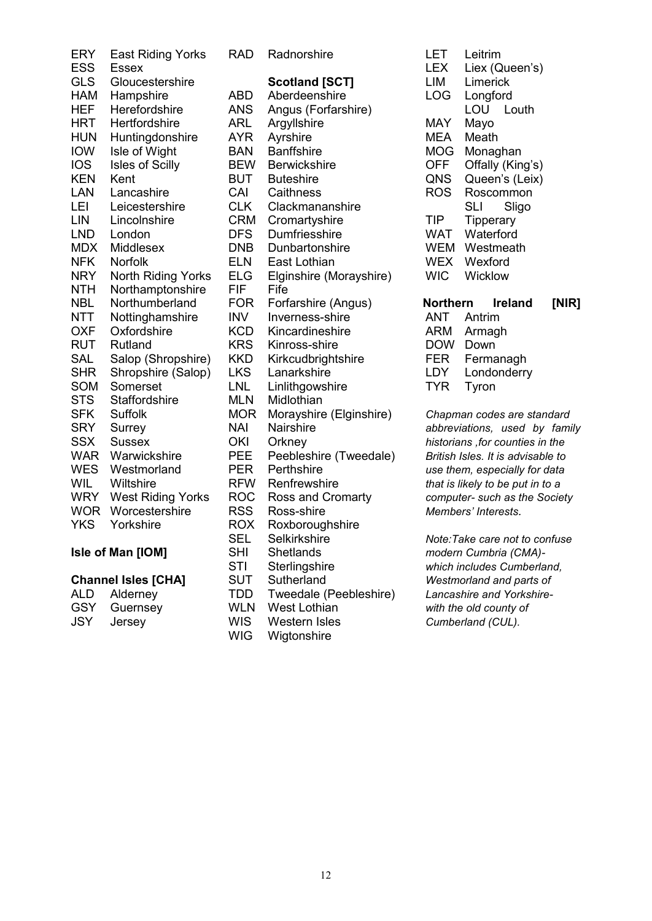| <b>ERY</b><br><b>ESS</b> | <b>East Riding Yorks</b><br><b>Essex</b> | <b>RAD</b> | Radnorshire             | <b>LET</b><br><b>LEX</b> | Leitrim<br>Liex (C   |
|--------------------------|------------------------------------------|------------|-------------------------|--------------------------|----------------------|
| <b>GLS</b>               | Gloucestershire                          |            | <b>Scotland [SCT]</b>   | LIM                      | Limerio              |
| <b>HAM</b>               | Hampshire                                | <b>ABD</b> | Aberdeenshire           | <b>LOG</b>               | Longfo               |
| <b>HEF</b>               | Herefordshire                            | <b>ANS</b> | Angus (Forfarshire)     |                          | LOU                  |
| <b>HRT</b>               | Hertfordshire                            | ARL        | Argyllshire             | <b>MAY</b>               | Mayo                 |
| <b>HUN</b>               | Huntingdonshire                          | <b>AYR</b> | Ayrshire                | <b>MEA</b>               | Meath                |
| <b>IOW</b>               | Isle of Wight                            | <b>BAN</b> | <b>Banffshire</b>       | <b>MOG</b>               | Monag                |
| <b>IOS</b>               | Isles of Scilly                          | <b>BEW</b> | <b>Berwickshire</b>     | <b>OFF</b>               | Offally              |
| <b>KEN</b>               | Kent                                     | <b>BUT</b> | <b>Buteshire</b>        | QNS                      | Queen                |
| LAN                      | Lancashire                               | CAI        | Caithness               | <b>ROS</b>               | Rosco                |
| LEI                      | Leicestershire                           | <b>CLK</b> | Clackmananshire         |                          | <b>SLI</b>           |
| LIN                      | Lincolnshire                             | <b>CRM</b> | Cromartyshire           | <b>TIP</b>               | Tipper               |
| <b>LND</b>               | London                                   | <b>DFS</b> | Dumfriesshire           | <b>WAT</b>               | Waterf               |
| <b>MDX</b>               | Middlesex                                | <b>DNB</b> | Dunbartonshire          | <b>WEM</b>               | Westm                |
| <b>NFK</b>               | Norfolk                                  | <b>ELN</b> | East Lothian            | <b>WEX</b>               | Wexfor               |
| <b>NRY</b>               | North Riding Yorks                       | <b>ELG</b> | Elginshire (Morayshire) | <b>WIC</b>               | Wicklo               |
| <b>NTH</b>               | Northamptonshire                         | <b>FIF</b> | Fife                    |                          |                      |
| <b>NBL</b>               | Northumberland                           | <b>FOR</b> | Forfarshire (Angus)     | <b>Northern</b>          | Ir                   |
| <b>NTT</b>               | Nottinghamshire                          | <b>INV</b> | Inverness-shire         | ANT                      | Antrim               |
| <b>OXF</b>               | Oxfordshire                              | <b>KCD</b> | Kincardineshire         | <b>ARM</b>               | Armag                |
| <b>RUT</b>               | Rutland                                  | <b>KRS</b> | Kinross-shire           | <b>DOW</b>               | Down                 |
| <b>SAL</b>               | Salop (Shropshire)                       | <b>KKD</b> | Kirkcudbrightshire      | <b>FER</b>               | Ferma                |
| <b>SHR</b>               | Shropshire (Salop)                       | <b>LKS</b> | Lanarkshire             | LDY                      | Londor               |
| <b>SOM</b>               | Somerset                                 | <b>LNL</b> | Linlithgowshire         | <b>TYR</b>               | Tyron                |
| <b>STS</b>               | Staffordshire                            | <b>MLN</b> | Midlothian              |                          |                      |
| <b>SFK</b>               | Suffolk                                  | <b>MOR</b> | Morayshire (Elginshire) |                          | Chapman code         |
| <b>SRY</b>               | Surrey                                   | <b>NAI</b> | <b>Nairshire</b>        |                          | abbreviations,       |
| <b>SSX</b>               | <b>Sussex</b>                            | OKI        | Orkney                  |                          | historians, for c    |
| <b>WAR</b>               | Warwickshire                             | <b>PEE</b> | Peebleshire (Tweedale)  |                          | British Isles. It i. |
| <b>WES</b>               | Westmorland                              | <b>PER</b> | Perthshire              |                          | use them, espe       |
| <b>WIL</b>               | Wiltshire                                | <b>RFW</b> | Renfrewshire            |                          | that is likely to b  |
| <b>WRY</b>               | <b>West Riding Yorks</b>                 | <b>ROC</b> | Ross and Cromarty       |                          | computer- such       |
| <b>WOR</b>               | Worcestershire                           | <b>RSS</b> | Ross-shire              |                          | Members' Inter       |
| <b>YKS</b>               | Yorkshire                                | <b>ROX</b> | Roxboroughshire         |                          |                      |
|                          |                                          | <b>SEL</b> | Selkirkshire            |                          | Note: Take care      |
|                          | Isle of Man [IOM]                        | <b>SHI</b> | Shetlands               |                          | modern Cumbri        |

| ALD        | Alderney |
|------------|----------|
| <b>GSY</b> | Guernsey |
| JSY        | Jersey   |

| ERY                                      | East Riding Yorks        | RAD        | Radnorshire             | ᄔ                        | Leitrim                           |       |
|------------------------------------------|--------------------------|------------|-------------------------|--------------------------|-----------------------------------|-------|
| <b>ESS</b>                               | <b>Essex</b>             |            |                         | <b>LEX</b>               | Liex (Queen's)                    |       |
| <b>GLS</b>                               | Gloucestershire          |            | <b>Scotland [SCT]</b>   | LIM                      | Limerick                          |       |
| <b>HAM</b>                               | Hampshire                | <b>ABD</b> | Aberdeenshire           | <b>LOG</b>               | Longford                          |       |
| <b>HEF</b>                               | Herefordshire            | <b>ANS</b> | Angus (Forfarshire)     |                          | LOU<br>Louth                      |       |
| <b>HRT</b>                               | Hertfordshire            | ARL        | Argyllshire             | <b>MAY</b>               | Mayo                              |       |
| <b>HUN</b>                               | Huntingdonshire          | <b>AYR</b> | Ayrshire                | <b>MEA</b>               | Meath                             |       |
| <b>IOW</b>                               | Isle of Wight            | <b>BAN</b> | <b>Banffshire</b>       | <b>MOG</b>               | Monaghan                          |       |
| <b>IOS</b>                               | <b>Isles of Scilly</b>   | <b>BEW</b> | <b>Berwickshire</b>     | <b>OFF</b>               | Offally (King's)                  |       |
| <b>KEN</b>                               | Kent                     | <b>BUT</b> | <b>Buteshire</b>        | QNS                      | Queen's (Leix)                    |       |
| LAN                                      | Lancashire               | CAI        | Caithness               | <b>ROS</b>               | Roscommon                         |       |
| LEI                                      | Leicestershire           | <b>CLK</b> | Clackmananshire         |                          | <b>SLI</b><br>Sligo               |       |
| <b>LIN</b>                               | Lincolnshire             | <b>CRM</b> | Cromartyshire           | <b>TIP</b>               | <b>Tipperary</b>                  |       |
| <b>LND</b>                               | London                   | <b>DFS</b> | Dumfriesshire           | <b>WAT</b>               | Waterford                         |       |
| <b>MDX</b>                               | Middlesex                | <b>DNB</b> | Dunbartonshire          | <b>WEM</b>               | Westmeath                         |       |
| <b>NFK</b>                               | Norfolk                  | <b>ELN</b> | East Lothian            | <b>WEX</b>               | Wexford                           |       |
| <b>NRY</b>                               | North Riding Yorks       | <b>ELG</b> | Elginshire (Morayshire) | <b>WIC</b>               | Wicklow                           |       |
| <b>NTH</b>                               | Northamptonshire         | <b>FIF</b> | Fife                    |                          |                                   |       |
| <b>NBL</b>                               | Northumberland           | <b>FOR</b> | Forfarshire (Angus)     | Northern                 | <b>Ireland</b>                    | [NIR] |
| <b>NTT</b>                               | Nottinghamshire          | <b>INV</b> | Inverness-shire         | <b>ANT</b>               | Antrim                            |       |
| <b>OXF</b>                               | Oxfordshire              | <b>KCD</b> | Kincardineshire         | <b>ARM</b>               | Armagh                            |       |
| <b>RUT</b>                               | Rutland                  | <b>KRS</b> | Kinross-shire           | <b>DOW</b>               | Down                              |       |
| <b>SAL</b>                               | Salop (Shropshire)       | <b>KKD</b> | Kirkcudbrightshire      | <b>FER</b>               | Fermanagh                         |       |
| <b>SHR</b>                               | Shropshire (Salop)       | <b>LKS</b> | Lanarkshire             | <b>LDY</b>               | Londonderry                       |       |
| <b>SOM</b>                               | Somerset                 | <b>LNL</b> | Linlithgowshire         | <b>TYR</b>               | Tyron                             |       |
| <b>STS</b>                               | Staffordshire            | <b>MLN</b> | Midlothian              |                          |                                   |       |
| <b>SFK</b>                               | Suffolk                  | <b>MOR</b> | Morayshire (Elginshire) |                          | Chapman codes are standard        |       |
| <b>SRY</b>                               | Surrey                   | NAI        | Nairshire               |                          | abbreviations, used by family     |       |
| <b>SSX</b>                               | <b>Sussex</b>            | OKI        | Orkney                  |                          | historians, for counties in the   |       |
| <b>WAR</b>                               | Warwickshire             | <b>PEE</b> | Peebleshire (Tweedale)  |                          | British Isles. It is advisable to |       |
| <b>WES</b>                               | Westmorland              | <b>PER</b> | Perthshire              |                          | use them, especially for data     |       |
| <b>WIL</b>                               | Wiltshire                | <b>RFW</b> | Renfrewshire            |                          | that is likely to be put in to a  |       |
| <b>WRY</b>                               | <b>West Riding Yorks</b> | <b>ROC</b> | Ross and Cromarty       |                          | computer- such as the Society     |       |
| <b>WOR</b>                               | Worcestershire           | <b>RSS</b> | Ross-shire              |                          | Members' Interests.               |       |
| <b>YKS</b>                               | Yorkshire                | <b>ROX</b> | Roxboroughshire         |                          |                                   |       |
|                                          |                          | <b>SEL</b> | Selkirkshire            |                          | Note: Take care not to confuse    |       |
|                                          | Isle of Man [IOM]        | <b>SHI</b> | Shetlands               |                          | modern Cumbria (CMA)-             |       |
|                                          |                          | STI        | Sterlingshire           |                          | which includes Cumberland,        |       |
| <b>Channel Isles [CHA]</b><br><b>SUT</b> |                          |            | Sutherland              | Westmorland and parts of |                                   |       |
| ALD                                      | Alderney                 | TDD        | Tweedale (Peebleshire)  |                          | Lancashire and Yorkshire-         |       |
| <b>GSY</b>                               | Guernsey                 | <b>WLN</b> | West Lothian            |                          | with the old county of            |       |
| <b>JSY</b>                               | Jersey                   | <b>WIS</b> | <b>Western Isles</b>    |                          | Cumberland (CUL).                 |       |
|                                          |                          | <b>WIG</b> | Wigtonshire             |                          |                                   |       |

| LET             | Leitrim          |
|-----------------|------------------|
| <b>LEX</b>      | Liex (Queen's)   |
| LIM             | Limerick         |
| LOG             | Longford         |
|                 | LOU Louth        |
| MAY             | Mayo             |
| MEA             | Meath            |
| MOG             | Monaghan         |
| OFF             | Offally (King's) |
| QNS             | Queen's (Leix)   |
| ROS             | Roscommon        |
|                 | SLI Sligo        |
| TIP             | <b>Tipperary</b> |
| WAT             | Waterford        |
| WEM             | Westmeath        |
| WEX             | Wexford          |
| WIC.            | Wicklow          |
| <b>Northern</b> | <b>Ireland</b>   |
|                 | ANIT Antrim      |

|            | ANT Antrim  |
|------------|-------------|
|            | ARM Armagh  |
| <b>DOW</b> | Down        |
| ER.        | Fermanagh   |
| _DY        | Londonderry |
| TYR.       | Tvron       |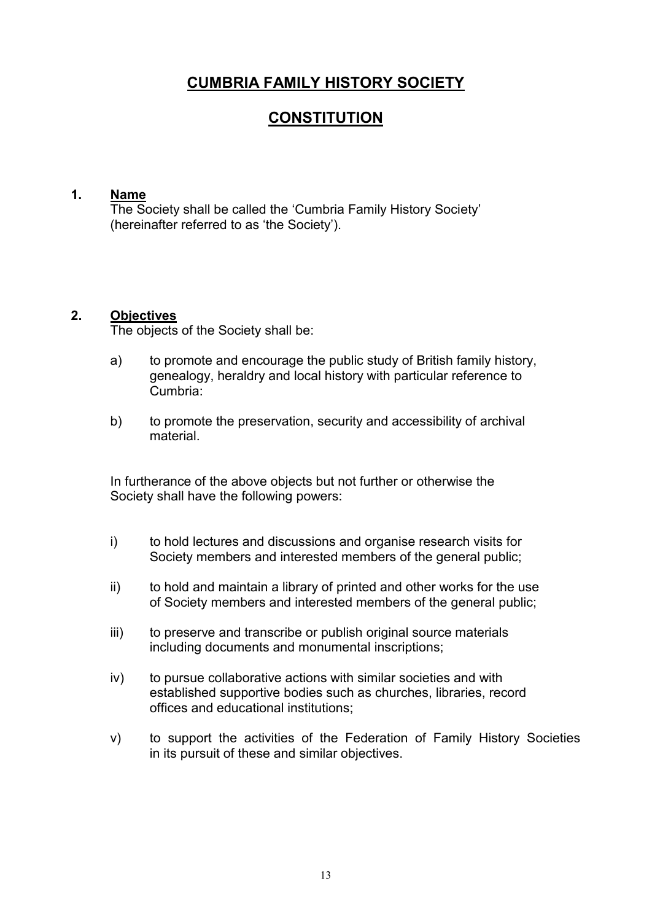# **CUMBRIA FAMILY HISTORY SOCIETY**

# **CONSTITUTION**

#### **1. Name**

The Society shall be called the 'Cumbria Family History Society' (hereinafter referred to as 'the Society').

#### **2. Objectives**

The objects of the Society shall be:

- a) to promote and encourage the public study of British family history, genealogy, heraldry and local history with particular reference to Cumbria:
- b) to promote the preservation, security and accessibility of archival material.

In furtherance of the above objects but not further or otherwise the Society shall have the following powers:

- i) to hold lectures and discussions and organise research visits for Society members and interested members of the general public;
- ii) to hold and maintain a library of printed and other works for the use of Society members and interested members of the general public;
- iii) to preserve and transcribe or publish original source materials including documents and monumental inscriptions;
- iv) to pursue collaborative actions with similar societies and with established supportive bodies such as churches, libraries, record offices and educational institutions;
- v) to support the activities of the Federation of Family History Societies in its pursuit of these and similar objectives.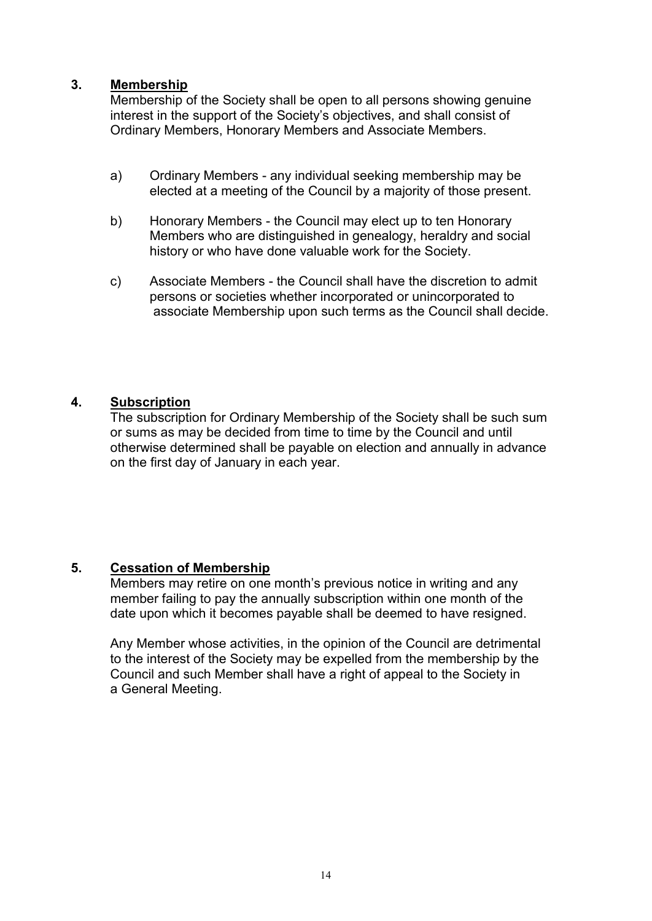#### **3. Membership**

Membership of the Society shall be open to all persons showing genuine interest in the support of the Society's objectives, and shall consist of Ordinary Members, Honorary Members and Associate Members.

- a) Ordinary Members any individual seeking membership may be elected at a meeting of the Council by a majority of those present.
- b) Honorary Members the Council may elect up to ten Honorary Members who are distinguished in genealogy, heraldry and social history or who have done valuable work for the Society.
- c) Associate Members the Council shall have the discretion to admit persons or societies whether incorporated or unincorporated to associate Membership upon such terms as the Council shall decide.

#### **4. Subscription**

The subscription for Ordinary Membership of the Society shall be such sum or sums as may be decided from time to time by the Council and until otherwise determined shall be payable on election and annually in advance on the first day of January in each year.

#### **5. Cessation of Membership**

Members may retire on one month's previous notice in writing and any member failing to pay the annually subscription within one month of the date upon which it becomes payable shall be deemed to have resigned.

Any Member whose activities, in the opinion of the Council are detrimental to the interest of the Society may be expelled from the membership by the Council and such Member shall have a right of appeal to the Society in a General Meeting.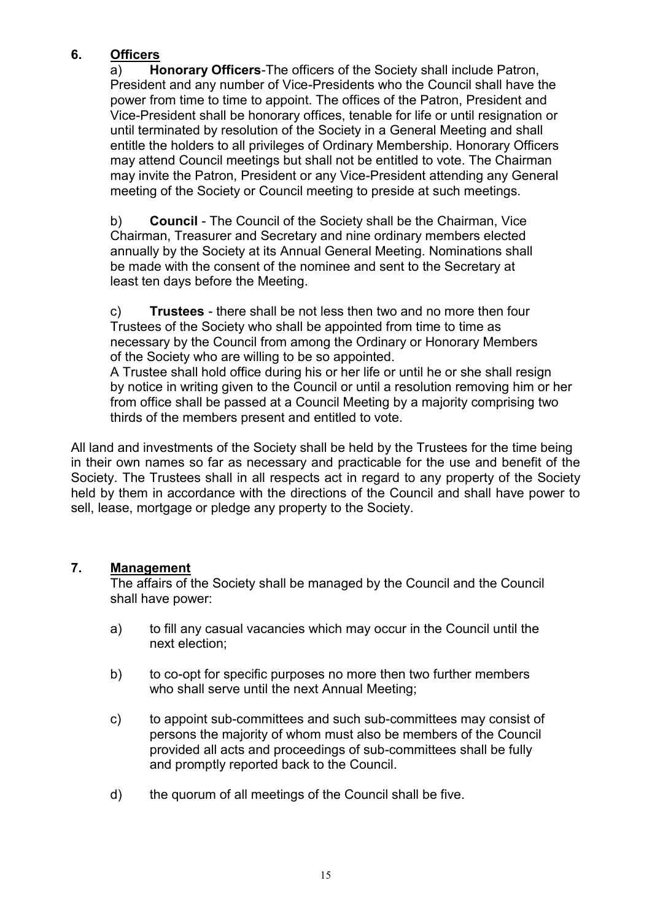# **6. Officers**

a) **Honorary Officers**-The officers of the Society shall include Patron, President and any number of Vice-Presidents who the Council shall have the power from time to time to appoint. The offices of the Patron, President and Vice-President shall be honorary offices, tenable for life or until resignation or until terminated by resolution of the Society in a General Meeting and shall entitle the holders to all privileges of Ordinary Membership. Honorary Officers may attend Council meetings but shall not be entitled to vote. The Chairman may invite the Patron, President or any Vice-President attending any General meeting of the Society or Council meeting to preside at such meetings.

b) **Council** - The Council of the Society shall be the Chairman, Vice Chairman, Treasurer and Secretary and nine ordinary members elected annually by the Society at its Annual General Meeting. Nominations shall be made with the consent of the nominee and sent to the Secretary at least ten days before the Meeting.

c) **Trustees** - there shall be not less then two and no more then four Trustees of the Society who shall be appointed from time to time as necessary by the Council from among the Ordinary or Honorary Members of the Society who are willing to be so appointed.

A Trustee shall hold office during his or her life or until he or she shall resign by notice in writing given to the Council or until a resolution removing him or her from office shall be passed at a Council Meeting by a majority comprising two thirds of the members present and entitled to vote.

All land and investments of the Society shall be held by the Trustees for the time being in their own names so far as necessary and practicable for the use and benefit of the Society. The Trustees shall in all respects act in regard to any property of the Society held by them in accordance with the directions of the Council and shall have power to sell, lease, mortgage or pledge any property to the Society.

# **7. Management**

The affairs of the Society shall be managed by the Council and the Council shall have power:

- a) to fill any casual vacancies which may occur in the Council until the next election;
- b) to co-opt for specific purposes no more then two further members who shall serve until the next Annual Meeting;
- c) to appoint sub-committees and such sub-committees may consist of persons the majority of whom must also be members of the Council provided all acts and proceedings of sub-committees shall be fully and promptly reported back to the Council.
- d) the quorum of all meetings of the Council shall be five.